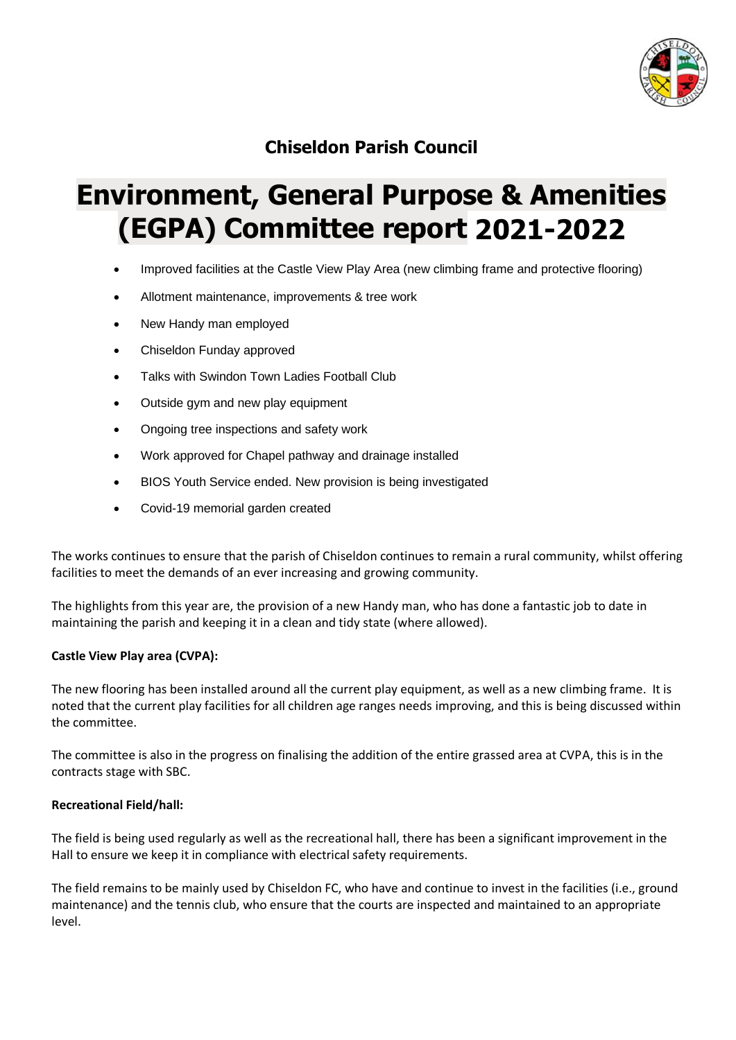

## **Chiseldon Parish Council**

# **Environment, General Purpose & Amenities (EGPA) Committee report 2021-2022**

- Improved facilities at the Castle View Play Area (new climbing frame and protective flooring)
- Allotment maintenance, improvements & tree work
- New Handy man employed
- Chiseldon Funday approved
- Talks with Swindon Town Ladies Football Club
- Outside gym and new play equipment
- Ongoing tree inspections and safety work
- Work approved for Chapel pathway and drainage installed
- BIOS Youth Service ended. New provision is being investigated
- Covid-19 memorial garden created

The works continues to ensure that the parish of Chiseldon continues to remain a rural community, whilst offering facilities to meet the demands of an ever increasing and growing community.

The highlights from this year are, the provision of a new Handy man, who has done a fantastic job to date in maintaining the parish and keeping it in a clean and tidy state (where allowed).

### **Castle View Play area (CVPA):**

The new flooring has been installed around all the current play equipment, as well as a new climbing frame. It is noted that the current play facilities for all children age ranges needs improving, and this is being discussed within the committee.

The committee is also in the progress on finalising the addition of the entire grassed area at CVPA, this is in the contracts stage with SBC.

### **Recreational Field/hall:**

The field is being used regularly as well as the recreational hall, there has been a significant improvement in the Hall to ensure we keep it in compliance with electrical safety requirements.

The field remains to be mainly used by Chiseldon FC, who have and continue to invest in the facilities (i.e., ground maintenance) and the tennis club, who ensure that the courts are inspected and maintained to an appropriate level.